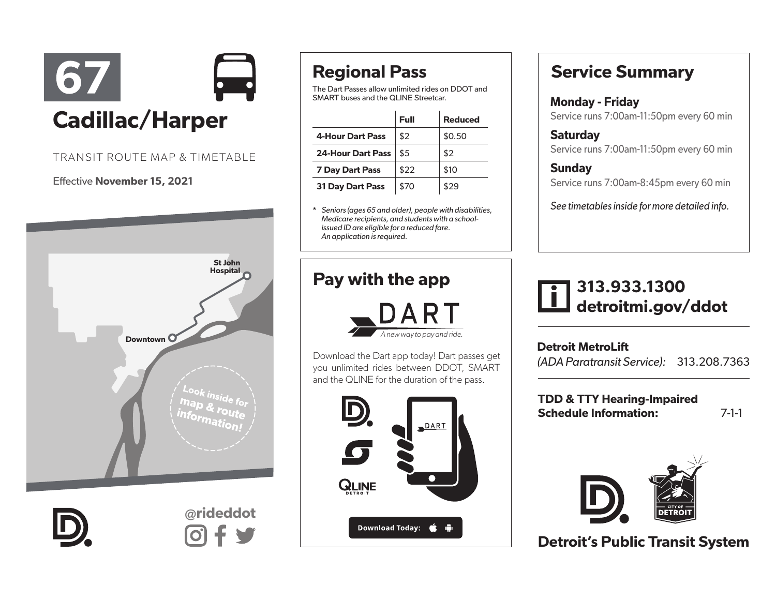

#### TRANSIT ROUTE MAP & TIMETABLE

#### Effective November 15, 2021





@rideddot

# Regional Pass

The Dart Passes allow unlimited rides on DDOT and SMART buses and the QLINE Streetcar.

|                          | Full | <b>Reduced</b> |
|--------------------------|------|----------------|
| <b>4-Hour Dart Pass</b>  | \$2  | \$0.50         |
| <b>24-Hour Dart Pass</b> | \$5  | \$2            |
| <b>7 Day Dart Pass</b>   | \$22 | \$10           |
| <b>31 Day Dart Pass</b>  | \$70 | \$29           |

\* *Seniors (ages 65 and older), people with disabilities, Medicare recipients, and students with a schoolissued ID are eligible for a reduced fare. An application is required.* 

### Pay with the app



Download the Dart app today! Dart passes get you unlimited rides between DDOT, SMART and the QLINE for the duration of the pass.



## Service Summary

Monday - Friday Service runs 7:00am-11:50pm every 60 min

**Saturday** Service runs 7:00am-11:50pm every 60 min

**Sundav** Service runs 7:00am-8:45pm every 60 min

*See timetables inside for more detailed info.*

## 313.933.1300 detroitmi.gov/ddot

Detroit MetroLift *(ADA Paratransit Service):* 313.208.7363

TDD & TTY Hearing-Impaired Schedule Information: 7-1-1



Detroit's Public Transit System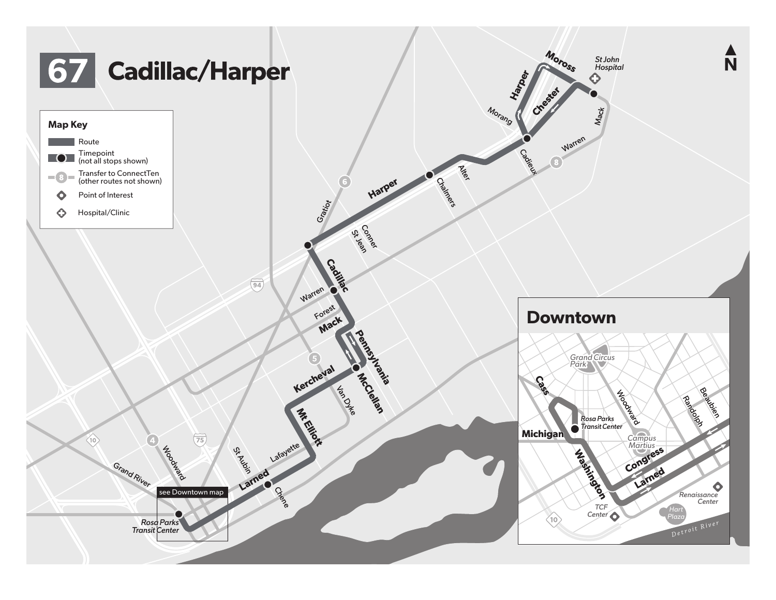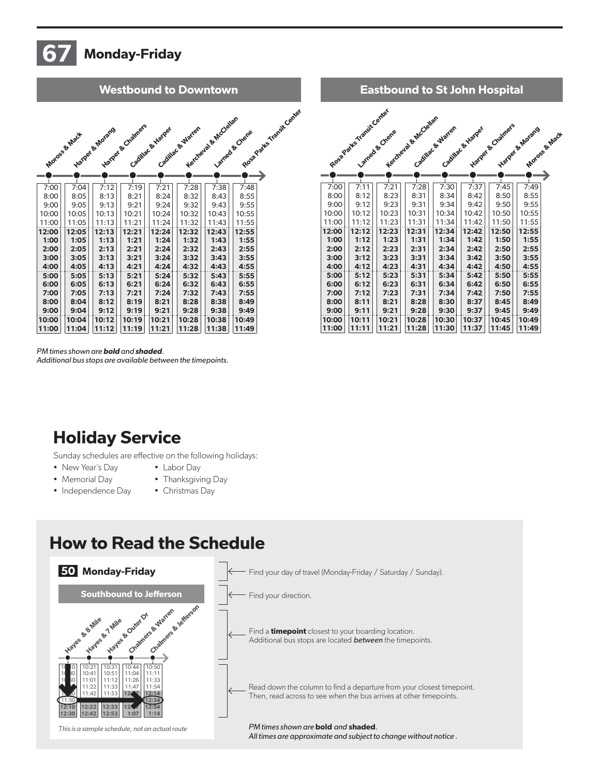# Monday-Friday

| Rosa Patts Transit Canar<br>Keicheara & HcCleian<br>Harper & Chamers<br>Cadillac & Warter<br>Cadillac & Hiarper<br>Harger & Horans<br>Lamed & Chene<br>Moross & Mack<br>7:28<br>7:00<br>7:12<br>7:19<br>7:21<br>7:38<br>7:48<br>7:04<br>8:00<br>8:05<br>8:13<br>8:32<br>8:43<br>8:55<br>8:21<br>8:24<br>9:05<br>9:13<br>9:32<br>9:55<br>9:00<br>9:21<br>9:24<br>9:43<br>10:00<br>10:05<br>10:13<br>10:32<br>10:43<br>10:55<br>10:21<br>10:24<br>11:13<br>11:32<br>11:55<br>11:00<br>11:05<br>11:21<br>11:24<br>11:43<br>12:05<br>12:13<br>12:21<br>12:32<br>12:00<br>12:24<br>12:43<br>12:55<br>1:00<br>1:05<br>1:21<br>1:32<br>1:43<br>1:13<br>1:24<br>1:55<br>2:32<br>2:00<br>2:05<br>2:13<br>2:21<br>2:24<br>2:43<br>2:55<br>3:00<br>3:05<br>3:21<br>3:24<br>3:32<br>3:43<br>3:55<br>3:13<br>4:00<br>4:05<br>4:32<br>4:43<br>4:55<br>4:13<br>4:21<br>4:24<br>5:00<br>5:05<br>5:13<br>5:21<br>5:24<br>5:32<br>5:43<br>5:55<br>6:32<br>6:00<br>6:05<br>6:13<br>6:21<br>6:24<br>6:43<br>6:55 |
|----------------------------------------------------------------------------------------------------------------------------------------------------------------------------------------------------------------------------------------------------------------------------------------------------------------------------------------------------------------------------------------------------------------------------------------------------------------------------------------------------------------------------------------------------------------------------------------------------------------------------------------------------------------------------------------------------------------------------------------------------------------------------------------------------------------------------------------------------------------------------------------------------------------------------------------------------------------------------------------------|
|                                                                                                                                                                                                                                                                                                                                                                                                                                                                                                                                                                                                                                                                                                                                                                                                                                                                                                                                                                                              |
|                                                                                                                                                                                                                                                                                                                                                                                                                                                                                                                                                                                                                                                                                                                                                                                                                                                                                                                                                                                              |
|                                                                                                                                                                                                                                                                                                                                                                                                                                                                                                                                                                                                                                                                                                                                                                                                                                                                                                                                                                                              |
|                                                                                                                                                                                                                                                                                                                                                                                                                                                                                                                                                                                                                                                                                                                                                                                                                                                                                                                                                                                              |
|                                                                                                                                                                                                                                                                                                                                                                                                                                                                                                                                                                                                                                                                                                                                                                                                                                                                                                                                                                                              |
|                                                                                                                                                                                                                                                                                                                                                                                                                                                                                                                                                                                                                                                                                                                                                                                                                                                                                                                                                                                              |
|                                                                                                                                                                                                                                                                                                                                                                                                                                                                                                                                                                                                                                                                                                                                                                                                                                                                                                                                                                                              |
|                                                                                                                                                                                                                                                                                                                                                                                                                                                                                                                                                                                                                                                                                                                                                                                                                                                                                                                                                                                              |
|                                                                                                                                                                                                                                                                                                                                                                                                                                                                                                                                                                                                                                                                                                                                                                                                                                                                                                                                                                                              |
|                                                                                                                                                                                                                                                                                                                                                                                                                                                                                                                                                                                                                                                                                                                                                                                                                                                                                                                                                                                              |
|                                                                                                                                                                                                                                                                                                                                                                                                                                                                                                                                                                                                                                                                                                                                                                                                                                                                                                                                                                                              |
|                                                                                                                                                                                                                                                                                                                                                                                                                                                                                                                                                                                                                                                                                                                                                                                                                                                                                                                                                                                              |
|                                                                                                                                                                                                                                                                                                                                                                                                                                                                                                                                                                                                                                                                                                                                                                                                                                                                                                                                                                                              |
|                                                                                                                                                                                                                                                                                                                                                                                                                                                                                                                                                                                                                                                                                                                                                                                                                                                                                                                                                                                              |
|                                                                                                                                                                                                                                                                                                                                                                                                                                                                                                                                                                                                                                                                                                                                                                                                                                                                                                                                                                                              |
|                                                                                                                                                                                                                                                                                                                                                                                                                                                                                                                                                                                                                                                                                                                                                                                                                                                                                                                                                                                              |
|                                                                                                                                                                                                                                                                                                                                                                                                                                                                                                                                                                                                                                                                                                                                                                                                                                                                                                                                                                                              |
|                                                                                                                                                                                                                                                                                                                                                                                                                                                                                                                                                                                                                                                                                                                                                                                                                                                                                                                                                                                              |
|                                                                                                                                                                                                                                                                                                                                                                                                                                                                                                                                                                                                                                                                                                                                                                                                                                                                                                                                                                                              |
| 7:00<br>7:05<br>7:13<br>7:21<br>7:24<br>7:32<br>7:43<br>7:55                                                                                                                                                                                                                                                                                                                                                                                                                                                                                                                                                                                                                                                                                                                                                                                                                                                                                                                                 |
| 8:00<br>8:21<br>8:28<br>8:04<br>8:12<br>8:19<br>8:38<br>8:49                                                                                                                                                                                                                                                                                                                                                                                                                                                                                                                                                                                                                                                                                                                                                                                                                                                                                                                                 |
| 9:00<br>9:04<br>9:12<br>9:19<br>9:21<br>9:28<br>9:38<br>9:49                                                                                                                                                                                                                                                                                                                                                                                                                                                                                                                                                                                                                                                                                                                                                                                                                                                                                                                                 |
| 10:00<br>10:04<br>10:21<br>10:28<br>10:38<br>10:12<br>10:19<br>10:49                                                                                                                                                                                                                                                                                                                                                                                                                                                                                                                                                                                                                                                                                                                                                                                                                                                                                                                         |
| 11:04<br>11:28<br>11:00<br>11:12<br>11:19<br>11:21<br>11:38<br>11:49                                                                                                                                                                                                                                                                                                                                                                                                                                                                                                                                                                                                                                                                                                                                                                                                                                                                                                                         |



*PM times shown are* bold *and* shaded*.* 

*Additional bus stops are available between the timepoints.*

### Holiday Service

Sunday schedules are effective on the following holidays:

- New Year's Day
- Memorial Day
- Independence Day • Christmas Day

• Labor Day • Thanksgiving Day